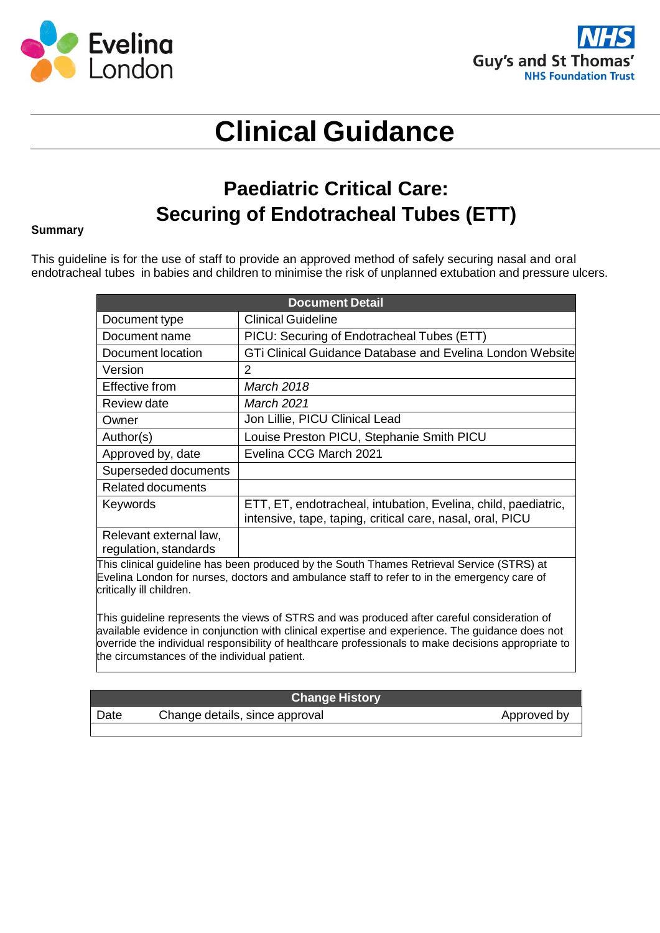



# **Clinical Guidance**

### **Paediatric Critical Care: Securing of Endotracheal Tubes (ETT)**

#### **Summary**

This guideline is for the use of staff to provide an approved method of safely securing nasal and oral endotracheal tubes in babies and children to minimise the risk of unplanned extubation and pressure ulcers.

| <b>Document Detail</b> |                                                                                                                             |  |
|------------------------|-----------------------------------------------------------------------------------------------------------------------------|--|
| Document type          | <b>Clinical Guideline</b>                                                                                                   |  |
| Document name          | PICU: Securing of Endotracheal Tubes (ETT)                                                                                  |  |
| Document location      | GTi Clinical Guidance Database and Evelina London Website                                                                   |  |
| Version                | 2                                                                                                                           |  |
| <b>Effective from</b>  | <i>March 2018</i>                                                                                                           |  |
| Review date            | March 2021                                                                                                                  |  |
| Owner                  | Jon Lillie, PICU Clinical Lead                                                                                              |  |
| Author(s)              | Louise Preston PICU, Stephanie Smith PICU                                                                                   |  |
| Approved by, date      | Evelina CCG March 2021                                                                                                      |  |
| Superseded documents   |                                                                                                                             |  |
| Related documents      |                                                                                                                             |  |
| Keywords               | ETT, ET, endotracheal, intubation, Evelina, child, paediatric,<br>intensive, tape, taping, critical care, nasal, oral, PICU |  |
| Relevant external law, |                                                                                                                             |  |
| regulation, standards  |                                                                                                                             |  |

This clinical guideline has been produced by the South Thames Retrieval Service (STRS) at Evelina London for nurses, doctors and ambulance staff to refer to in the emergency care of critically ill children.

This guideline represents the views of STRS and was produced after careful consideration of available evidence in conjunction with clinical expertise and experience. The guidance does not override the individual responsibility of healthcare professionals to make decisions appropriate to the circumstances of the individual patient.

#### **Change History**

| Date | Change details, since approval | Approved by |
|------|--------------------------------|-------------|
|      |                                |             |